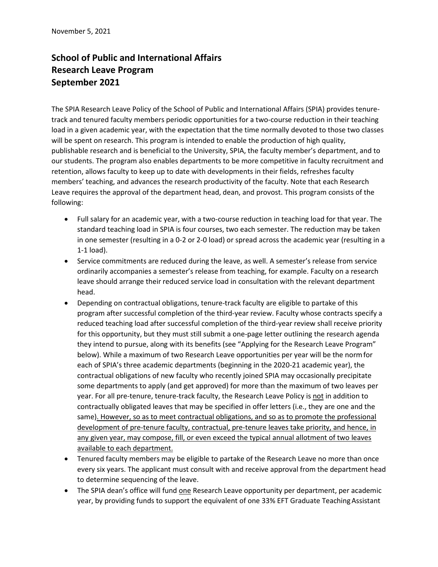## **School of Public and International Affairs Research Leave Program September 2021**

The SPIA Research Leave Policy of the School of Public and International Affairs (SPIA) provides tenuretrack and tenured faculty members periodic opportunities for a two-course reduction in their teaching load in a given academic year, with the expectation that the time normally devoted to those two classes will be spent on research. This program is intended to enable the production of high quality, publishable research and is beneficial to the University, SPIA, the faculty member's department, and to our students. The program also enables departments to be more competitive in faculty recruitment and retention, allows faculty to keep up to date with developments in their fields, refreshes faculty members' teaching, and advances the research productivity of the faculty. Note that each Research Leave requires the approval of the department head, dean, and provost. This program consists of the following:

- Full salary for an academic year, with a two-course reduction in teaching load for that year. The standard teaching load in SPIA is four courses, two each semester. The reduction may be taken in one semester (resulting in a 0-2 or 2-0 load) or spread across the academic year (resulting in a 1-1 load).
- Service commitments are reduced during the leave, as well. A semester's release from service ordinarily accompanies a semester's release from teaching, for example. Faculty on a research leave should arrange their reduced service load in consultation with the relevant department head.
- Depending on contractual obligations, tenure-track faculty are eligible to partake of this program after successful completion of the third-year review. Faculty whose contracts specify a reduced teaching load after successful completion of the third-year review shall receive priority for this opportunity, but they must still submit a one-page letter outlining the research agenda they intend to pursue, along with its benefits (see "Applying for the Research Leave Program" below). While a maximum of two Research Leave opportunities per year will be the normfor each of SPIA's three academic departments (beginning in the 2020-21 academic year), the contractual obligations of new faculty who recently joined SPIA may occasionally precipitate some departments to apply (and get approved) for more than the maximum of two leaves per year. For all pre-tenure, tenure-track faculty, the Research Leave Policy is not in addition to contractually obligated leaves that may be specified in offer letters (i.e., they are one and the same). However, so as to meet contractual obligations, and so as to promote the professional development of pre-tenure faculty, contractual, pre-tenure leaves take priority, and hence, in any given year, may compose, fill, or even exceed the typical annual allotment of two leaves available to each department.
- Tenured faculty members may be eligible to partake of the Research Leave no more than once every six years. The applicant must consult with and receive approval from the department head to determine sequencing of the leave.
- The SPIA dean's office will fund one Research Leave opportunity per department, per academic year, by providing funds to support the equivalent of one 33% EFT Graduate Teaching Assistant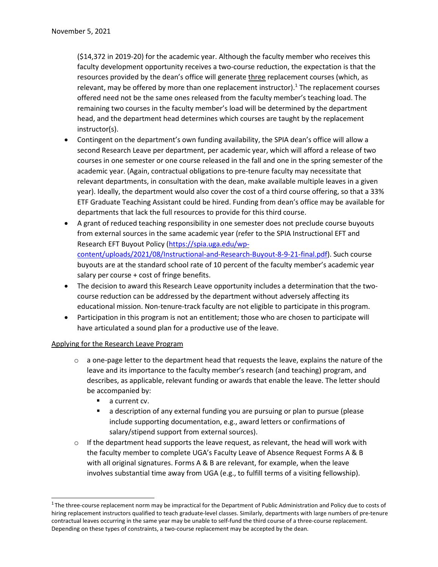(\$14,372 in 2019-20) for the academic year. Although the faculty member who receives this faculty development opportunity receives a two-course reduction, the expectation is that the resources provided by the dean's office will generate three replacement courses (which, as relevant, may be offered by more than one replacement instructor).<sup>1</sup> The replacement courses offered need not be the same ones released from the faculty member's teaching load. The remaining two courses in the faculty member's load will be determined by the department head, and the department head determines which courses are taught by the replacement instructor(s).

- Contingent on the department's own funding availability, the SPIA dean's office will allow a second Research Leave per department, per academic year, which will afford a release of two courses in one semester or one course released in the fall and one in the spring semester of the academic year. (Again, contractual obligations to pre-tenure faculty may necessitate that relevant departments, in consultation with the dean, make available multiple leaves in a given year). Ideally, the department would also cover the cost of a third course offering, so that a 33% ETF Graduate Teaching Assistant could be hired. Funding from dean's office may be available for departments that lack the full resources to provide for this third course.
- A grant of reduced teaching responsibility in one semester does not preclude course buyouts from external sources in the same academic year (refer to the SPIA Instructional EFT and Research EFT Buyout Policy [\(https://spia.uga.edu/wp](https://spia.uga.edu/wp-content/uploads/2021/08/Instructional-and-Research-Buyout-8-9-21-final.pdf)[content/uploads/2021/08/Instructional-and-Research-Buyout-8-9-21-final.pdf\)](https://spia.uga.edu/wp-content/uploads/2021/08/Instructional-and-Research-Buyout-8-9-21-final.pdf). Such course buyouts are at the standard school rate of 10 percent of the faculty member's academic year salary per course + cost of fringe benefits.
- The decision to award this Research Leave opportunity includes a determination that the twocourse reduction can be addressed by the department without adversely affecting its educational mission. Non-tenure-track faculty are not eligible to participate in this program.
- Participation in this program is not an entitlement; those who are chosen to participate will have articulated a sound plan for a productive use of the leave.

## Applying for the Research Leave Program

- $\circ$  a one-page letter to the department head that requests the leave, explains the nature of the leave and its importance to the faculty member's research (and teaching) program, and describes, as applicable, relevant funding or awards that enable the leave. The letter should be accompanied by:
	- a current cv.
	- a description of any external funding you are pursuing or plan to pursue (please include supporting documentation, e.g., award letters or confirmations of salary/stipend support from external sources).
- $\circ$  If the department head supports the leave request, as relevant, the head will work with the faculty member to complete UGA's Faculty Leave of Absence Request Forms A & B with all original signatures. Forms A & B are relevant, for example, when the leave involves substantial time away from UGA (e.g., to fulfill terms of a visiting fellowship).

<sup>&</sup>lt;sup>1</sup>The three-course replacement norm may be impractical for the Department of Public Administration and Policy due to costs of hiring replacement instructors qualified to teach graduate-level classes. Similarly, departments with large numbers of pre-tenure contractual leaves occurring in the same year may be unable to self-fund the third course of a three-course replacement. Depending on these types of constraints, a two-course replacement may be accepted by the dean.